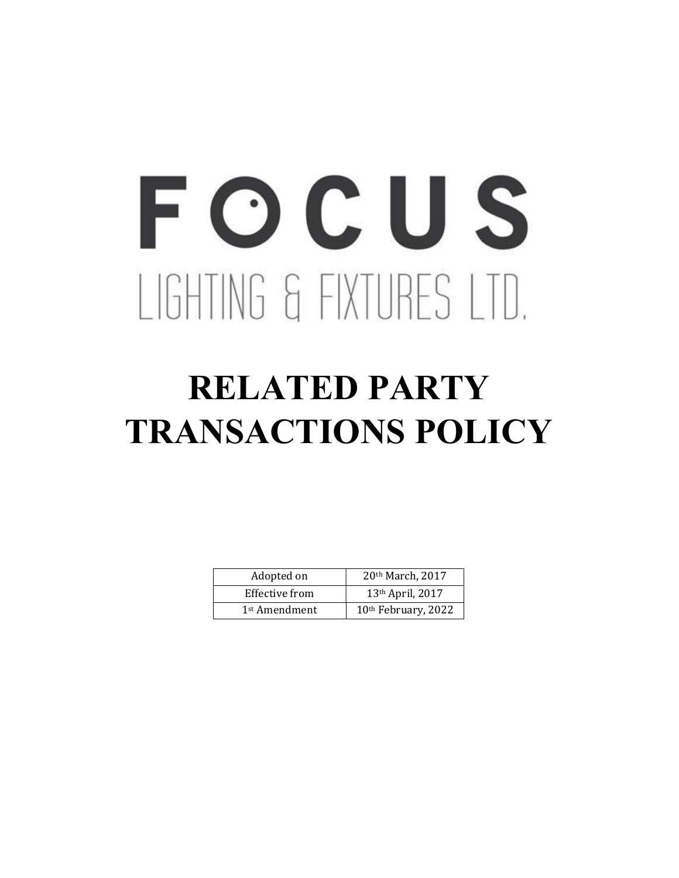# FOCUS LIGHTING & FIXTURES LTD.

# RELATED PARTY TRANSACTIONS POLICY

| Adopted on                | 20th March, 2017    |
|---------------------------|---------------------|
| Effective from            | 13th April, 2017    |
| 1 <sup>st</sup> Amendment | 10th February, 2022 |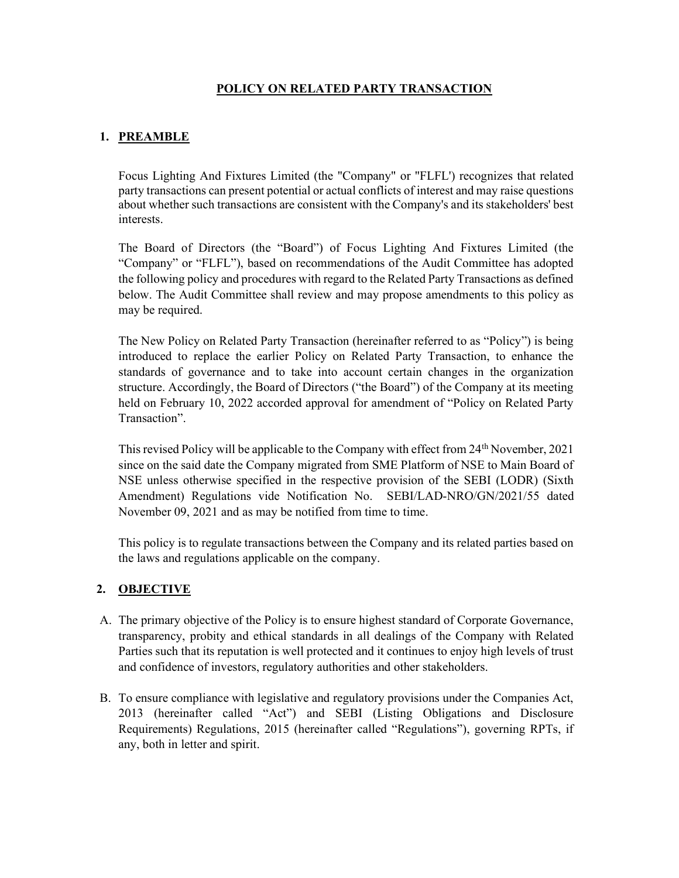#### POLICY ON RELATED PARTY TRANSACTION

## 1. PREAMBLE

Focus Lighting And Fixtures Limited (the "Company" or "FLFL') recognizes that related party transactions can present potential or actual conflicts of interest and may raise questions about whether such transactions are consistent with the Company's and its stakeholders' best interests.

The Board of Directors (the "Board") of Focus Lighting And Fixtures Limited (the "Company" or "FLFL"), based on recommendations of the Audit Committee has adopted the following policy and procedures with regard to the Related Party Transactions as defined below. The Audit Committee shall review and may propose amendments to this policy as may be required.

The New Policy on Related Party Transaction (hereinafter referred to as "Policy") is being introduced to replace the earlier Policy on Related Party Transaction, to enhance the standards of governance and to take into account certain changes in the organization structure. Accordingly, the Board of Directors ("the Board") of the Company at its meeting held on February 10, 2022 accorded approval for amendment of "Policy on Related Party Transaction".

This revised Policy will be applicable to the Company with effect from 24<sup>th</sup> November, 2021 since on the said date the Company migrated from SME Platform of NSE to Main Board of NSE unless otherwise specified in the respective provision of the SEBI (LODR) (Sixth Amendment) Regulations vide Notification No. SEBI/LAD-NRO/GN/2021/55 dated November 09, 2021 and as may be notified from time to time.

This policy is to regulate transactions between the Company and its related parties based on the laws and regulations applicable on the company.

#### 2. OBJECTIVE

- A. The primary objective of the Policy is to ensure highest standard of Corporate Governance, transparency, probity and ethical standards in all dealings of the Company with Related Parties such that its reputation is well protected and it continues to enjoy high levels of trust and confidence of investors, regulatory authorities and other stakeholders.
- B. To ensure compliance with legislative and regulatory provisions under the Companies Act, 2013 (hereinafter called "Act") and SEBI (Listing Obligations and Disclosure Requirements) Regulations, 2015 (hereinafter called "Regulations"), governing RPTs, if any, both in letter and spirit.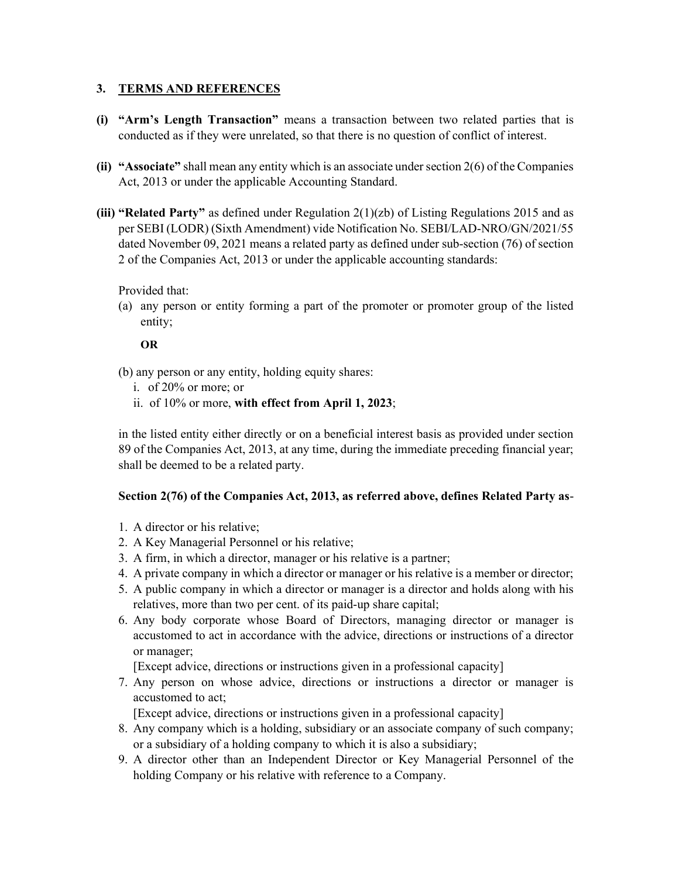#### 3. TERMS AND REFERENCES

- (i) "Arm's Length Transaction" means a transaction between two related parties that is conducted as if they were unrelated, so that there is no question of conflict of interest.
- (ii) "Associate" shall mean any entity which is an associate under section 2(6) of the Companies Act, 2013 or under the applicable Accounting Standard.
- (iii) "Related Party" as defined under Regulation  $2(1)(zb)$  of Listing Regulations 2015 and as per SEBI (LODR) (Sixth Amendment) vide Notification No. SEBI/LAD-NRO/GN/2021/55 dated November 09, 2021 means a related party as defined under sub-section (76) of section 2 of the Companies Act, 2013 or under the applicable accounting standards:

Provided that:

(a) any person or entity forming a part of the promoter or promoter group of the listed entity;

OR

(b) any person or any entity, holding equity shares:

- i. of 20% or more; or
- ii. of 10% or more, with effect from April 1, 2023;

in the listed entity either directly or on a beneficial interest basis as provided under section 89 of the Companies Act, 2013, at any time, during the immediate preceding financial year; shall be deemed to be a related party.

#### Section 2(76) of the Companies Act, 2013, as referred above, defines Related Party as-

- 1. A director or his relative;
- 2. A Key Managerial Personnel or his relative;
- 3. A firm, in which a director, manager or his relative is a partner;
- 4. A private company in which a director or manager or his relative is a member or director;
- 5. A public company in which a director or manager is a director and holds along with his relatives, more than two per cent. of its paid-up share capital;
- 6. Any body corporate whose Board of Directors, managing director or manager is accustomed to act in accordance with the advice, directions or instructions of a director or manager;

[Except advice, directions or instructions given in a professional capacity]

7. Any person on whose advice, directions or instructions a director or manager is accustomed to act;

[Except advice, directions or instructions given in a professional capacity]

- 8. Any company which is a holding, subsidiary or an associate company of such company; or a subsidiary of a holding company to which it is also a subsidiary;
- 9. A director other than an Independent Director or Key Managerial Personnel of the holding Company or his relative with reference to a Company.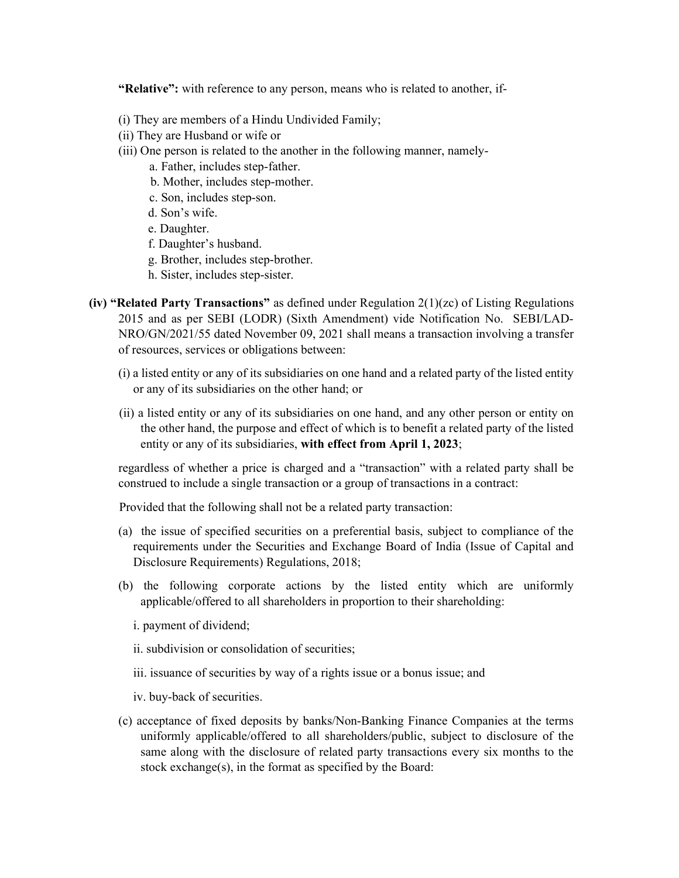"Relative": with reference to any person, means who is related to another, if-

- (i) They are members of a Hindu Undivided Family;
- (ii) They are Husband or wife or
- (iii) One person is related to the another in the following manner, namely
	- a. Father, includes step-father.
	- b. Mother, includes step-mother.
	- c. Son, includes step-son.
	- d. Son's wife.
	- e. Daughter.
	- f. Daughter's husband.
	- g. Brother, includes step-brother.
	- h. Sister, includes step-sister.
- (iv) "Related Party Transactions" as defined under Regulation  $2(1)(zc)$  of Listing Regulations 2015 and as per SEBI (LODR) (Sixth Amendment) vide Notification No. SEBI/LAD-NRO/GN/2021/55 dated November 09, 2021 shall means a transaction involving a transfer of resources, services or obligations between:
	- (i) a listed entity or any of its subsidiaries on one hand and a related party of the listed entity or any of its subsidiaries on the other hand; or
	- (ii) a listed entity or any of its subsidiaries on one hand, and any other person or entity on the other hand, the purpose and effect of which is to benefit a related party of the listed entity or any of its subsidiaries, with effect from April 1, 2023;

regardless of whether a price is charged and a "transaction" with a related party shall be construed to include a single transaction or a group of transactions in a contract:

Provided that the following shall not be a related party transaction:

- (a) the issue of specified securities on a preferential basis, subject to compliance of the requirements under the Securities and Exchange Board of India (Issue of Capital and Disclosure Requirements) Regulations, 2018;
- (b) the following corporate actions by the listed entity which are uniformly applicable/offered to all shareholders in proportion to their shareholding:
	- i. payment of dividend;
	- ii. subdivision or consolidation of securities;
	- iii. issuance of securities by way of a rights issue or a bonus issue; and
	- iv. buy-back of securities.
- (c) acceptance of fixed deposits by banks/Non-Banking Finance Companies at the terms uniformly applicable/offered to all shareholders/public, subject to disclosure of the same along with the disclosure of related party transactions every six months to the stock exchange(s), in the format as specified by the Board: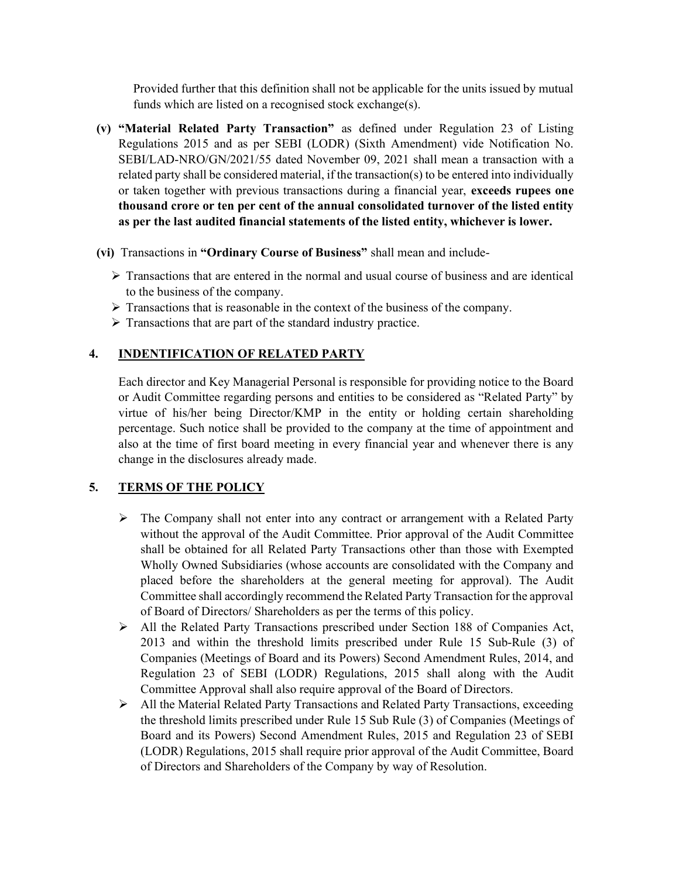Provided further that this definition shall not be applicable for the units issued by mutual funds which are listed on a recognised stock exchange(s).

- (v) "Material Related Party Transaction" as defined under Regulation 23 of Listing Regulations 2015 and as per SEBI (LODR) (Sixth Amendment) vide Notification No. SEBI/LAD-NRO/GN/2021/55 dated November 09, 2021 shall mean a transaction with a related party shall be considered material, if the transaction(s) to be entered into individually or taken together with previous transactions during a financial year, exceeds rupees one thousand crore or ten per cent of the annual consolidated turnover of the listed entity as per the last audited financial statements of the listed entity, whichever is lower.
- (vi) Transactions in "Ordinary Course of Business" shall mean and include-
	- $\triangleright$  Transactions that are entered in the normal and usual course of business and are identical to the business of the company.
	- $\triangleright$  Transactions that is reasonable in the context of the business of the company.
	- $\triangleright$  Transactions that are part of the standard industry practice.

## 4. INDENTIFICATION OF RELATED PARTY

Each director and Key Managerial Personal is responsible for providing notice to the Board or Audit Committee regarding persons and entities to be considered as "Related Party" by virtue of his/her being Director/KMP in the entity or holding certain shareholding percentage. Such notice shall be provided to the company at the time of appointment and also at the time of first board meeting in every financial year and whenever there is any change in the disclosures already made.

# 5. TERMS OF THE POLICY

- $\triangleright$  The Company shall not enter into any contract or arrangement with a Related Party without the approval of the Audit Committee. Prior approval of the Audit Committee shall be obtained for all Related Party Transactions other than those with Exempted Wholly Owned Subsidiaries (whose accounts are consolidated with the Company and placed before the shareholders at the general meeting for approval). The Audit Committee shall accordingly recommend the Related Party Transaction for the approval of Board of Directors/ Shareholders as per the terms of this policy.
- All the Related Party Transactions prescribed under Section 188 of Companies Act, 2013 and within the threshold limits prescribed under Rule 15 Sub-Rule (3) of Companies (Meetings of Board and its Powers) Second Amendment Rules, 2014, and Regulation 23 of SEBI (LODR) Regulations, 2015 shall along with the Audit Committee Approval shall also require approval of the Board of Directors.
- $\triangleright$  All the Material Related Party Transactions and Related Party Transactions, exceeding the threshold limits prescribed under Rule 15 Sub Rule (3) of Companies (Meetings of Board and its Powers) Second Amendment Rules, 2015 and Regulation 23 of SEBI (LODR) Regulations, 2015 shall require prior approval of the Audit Committee, Board of Directors and Shareholders of the Company by way of Resolution.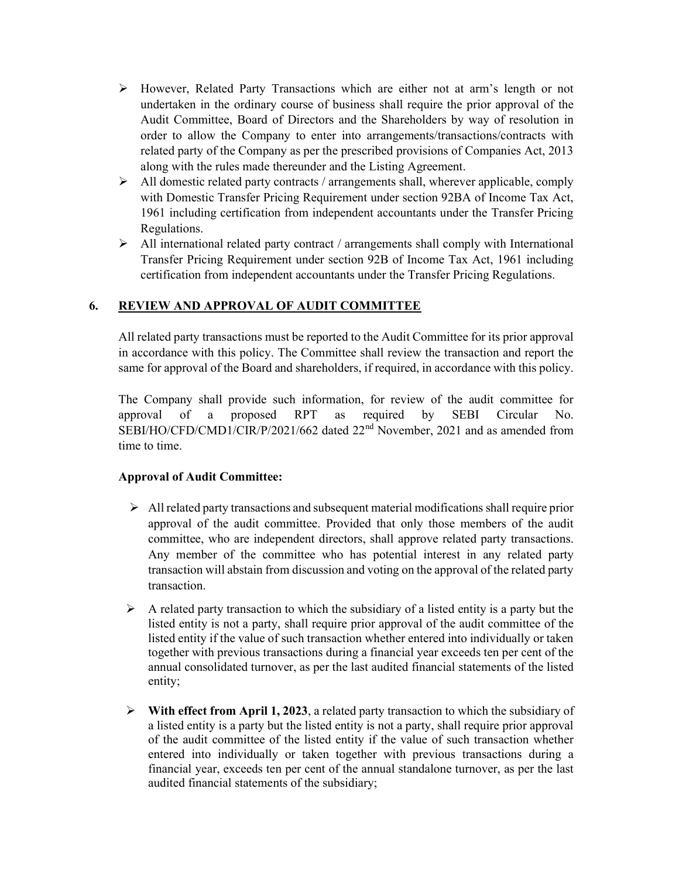- $\triangleright$  However, Related Party Transactions which are either not at arm's length or not undertaken in the ordinary course of business shall require the prior approval of the Audit Committee, Board of Directors and the Shareholders by way of resolution in order to allow the Company to enter into arrangements/transactions/contracts with related party of the Company as per the prescribed provisions of Companies Act, 2013 along with the rules made thereunder and the Listing Agreement.
- $\triangleright$  All domestic related party contracts / arrangements shall, wherever applicable, comply with Domestic Transfer Pricing Requirement under section 92BA of Income Tax Act, 1961 including certification from independent accountants under the Transfer Pricing Regulations.
- $\triangleright$  All international related party contract / arrangements shall comply with International Transfer Pricing Requirement under section 92B of Income Tax Act, 1961 including certification from independent accountants under the Transfer Pricing Regulations.

## 6. REVIEW AND APPROVAL OF AUDIT COMMITTEE

All related party transactions must be reported to the Audit Committee for its prior approval in accordance with this policy. The Committee shall review the transaction and report the same for approval of the Board and shareholders, if required, in accordance with this policy.

The Company shall provide such information, for review of the audit committee for approval of a proposed RPT as required by SEBI Circular No. SEBI/HO/CFD/CMD1/CIR/P/2021/662 dated 22<sup>nd</sup> November, 2021 and as amended from time to time.

#### Approval of Audit Committee:

- $\triangleright$  All related party transactions and subsequent material modifications shall require prior approval of the audit committee. Provided that only those members of the audit committee, who are independent directors, shall approve related party transactions. Any member of the committee who has potential interest in any related party transaction will abstain from discussion and voting on the approval of the related party transaction.
- $\triangleright$  A related party transaction to which the subsidiary of a listed entity is a party but the listed entity is not a party, shall require prior approval of the audit committee of the listed entity if the value of such transaction whether entered into individually or taken together with previous transactions during a financial year exceeds ten per cent of the annual consolidated turnover, as per the last audited financial statements of the listed entity;
- $\triangleright$  With effect from April 1, 2023, a related party transaction to which the subsidiary of a listed entity is a party but the listed entity is not a party, shall require prior approval of the audit committee of the listed entity if the value of such transaction whether entered into individually or taken together with previous transactions during a financial year, exceeds ten per cent of the annual standalone turnover, as per the last audited financial statements of the subsidiary;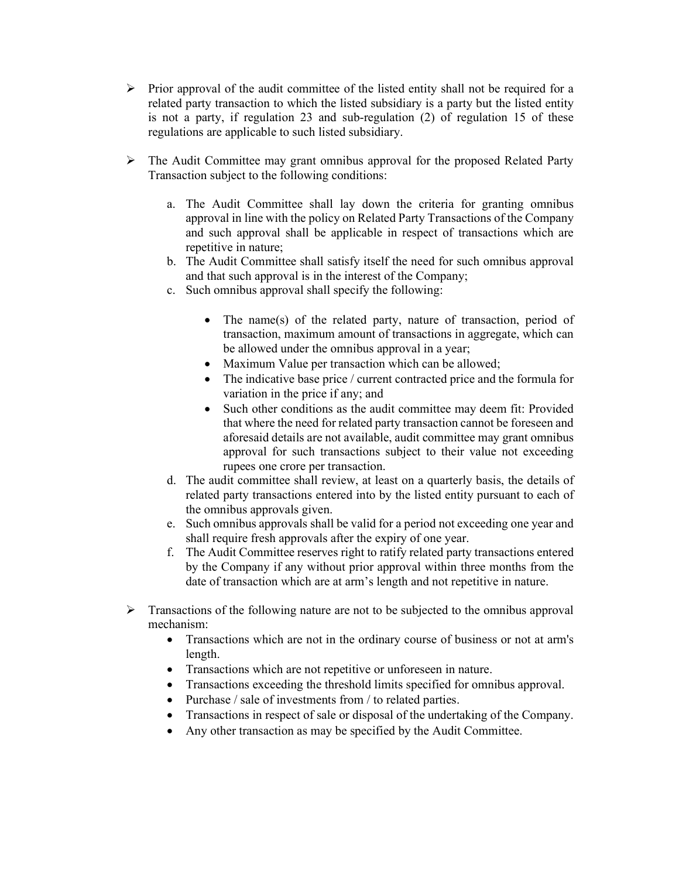- $\triangleright$  Prior approval of the audit committee of the listed entity shall not be required for a related party transaction to which the listed subsidiary is a party but the listed entity is not a party, if regulation 23 and sub-regulation (2) of regulation 15 of these regulations are applicable to such listed subsidiary.
- $\triangleright$  The Audit Committee may grant omnibus approval for the proposed Related Party Transaction subject to the following conditions:
	- a. The Audit Committee shall lay down the criteria for granting omnibus approval in line with the policy on Related Party Transactions of the Company and such approval shall be applicable in respect of transactions which are repetitive in nature;
	- b. The Audit Committee shall satisfy itself the need for such omnibus approval and that such approval is in the interest of the Company;
	- c. Such omnibus approval shall specify the following:
		- The name(s) of the related party, nature of transaction, period of transaction, maximum amount of transactions in aggregate, which can be allowed under the omnibus approval in a year;
		- Maximum Value per transaction which can be allowed;
		- The indicative base price / current contracted price and the formula for variation in the price if any; and
		- Such other conditions as the audit committee may deem fit: Provided that where the need for related party transaction cannot be foreseen and aforesaid details are not available, audit committee may grant omnibus approval for such transactions subject to their value not exceeding rupees one crore per transaction.
	- d. The audit committee shall review, at least on a quarterly basis, the details of related party transactions entered into by the listed entity pursuant to each of the omnibus approvals given.
	- e. Such omnibus approvals shall be valid for a period not exceeding one year and shall require fresh approvals after the expiry of one year.
	- f. The Audit Committee reserves right to ratify related party transactions entered by the Company if any without prior approval within three months from the date of transaction which are at arm's length and not repetitive in nature.
- $\triangleright$  Transactions of the following nature are not to be subjected to the omnibus approval mechanism:
	- Transactions which are not in the ordinary course of business or not at arm's length.
	- Transactions which are not repetitive or unforeseen in nature.
	- Transactions exceeding the threshold limits specified for omnibus approval.
	- Purchase / sale of investments from / to related parties.
	- Transactions in respect of sale or disposal of the undertaking of the Company.
	- Any other transaction as may be specified by the Audit Committee.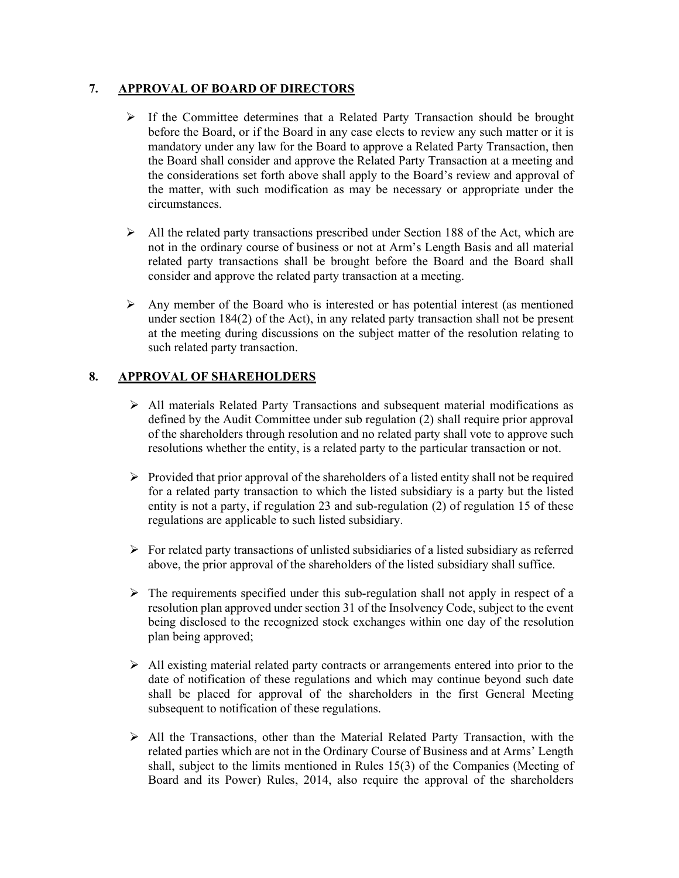#### 7. APPROVAL OF BOARD OF DIRECTORS

- $\triangleright$  If the Committee determines that a Related Party Transaction should be brought before the Board, or if the Board in any case elects to review any such matter or it is mandatory under any law for the Board to approve a Related Party Transaction, then the Board shall consider and approve the Related Party Transaction at a meeting and the considerations set forth above shall apply to the Board's review and approval of the matter, with such modification as may be necessary or appropriate under the circumstances.
- $\triangleright$  All the related party transactions prescribed under Section 188 of the Act, which are not in the ordinary course of business or not at Arm's Length Basis and all material related party transactions shall be brought before the Board and the Board shall consider and approve the related party transaction at a meeting.
- $\triangleright$  Any member of the Board who is interested or has potential interest (as mentioned under section 184(2) of the Act), in any related party transaction shall not be present at the meeting during discussions on the subject matter of the resolution relating to such related party transaction.

## 8. APPROVAL OF SHAREHOLDERS

- All materials Related Party Transactions and subsequent material modifications as defined by the Audit Committee under sub regulation (2) shall require prior approval of the shareholders through resolution and no related party shall vote to approve such resolutions whether the entity, is a related party to the particular transaction or not.
- $\triangleright$  Provided that prior approval of the shareholders of a listed entity shall not be required for a related party transaction to which the listed subsidiary is a party but the listed entity is not a party, if regulation 23 and sub-regulation (2) of regulation 15 of these regulations are applicable to such listed subsidiary.
- $\triangleright$  For related party transactions of unlisted subsidiaries of a listed subsidiary as referred above, the prior approval of the shareholders of the listed subsidiary shall suffice.
- $\triangleright$  The requirements specified under this sub-regulation shall not apply in respect of a resolution plan approved under section 31 of the Insolvency Code, subject to the event being disclosed to the recognized stock exchanges within one day of the resolution plan being approved;
- $\triangleright$  All existing material related party contracts or arrangements entered into prior to the date of notification of these regulations and which may continue beyond such date shall be placed for approval of the shareholders in the first General Meeting subsequent to notification of these regulations.
- $\triangleright$  All the Transactions, other than the Material Related Party Transaction, with the related parties which are not in the Ordinary Course of Business and at Arms' Length shall, subject to the limits mentioned in Rules 15(3) of the Companies (Meeting of Board and its Power) Rules, 2014, also require the approval of the shareholders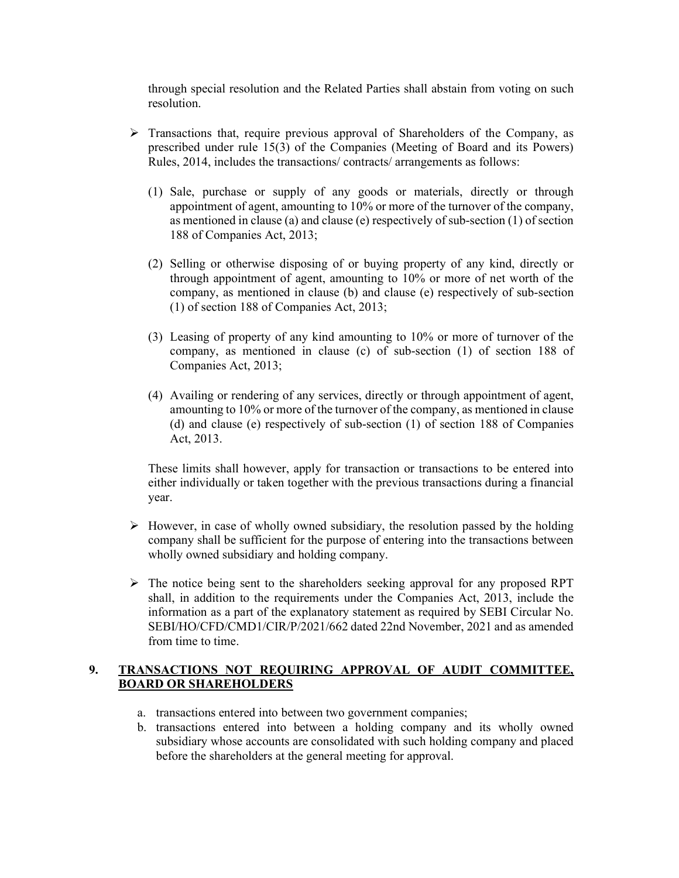through special resolution and the Related Parties shall abstain from voting on such resolution.

- $\triangleright$  Transactions that, require previous approval of Shareholders of the Company, as prescribed under rule 15(3) of the Companies (Meeting of Board and its Powers) Rules, 2014, includes the transactions/ contracts/ arrangements as follows:
	- (1) Sale, purchase or supply of any goods or materials, directly or through appointment of agent, amounting to 10% or more of the turnover of the company, as mentioned in clause (a) and clause (e) respectively of sub-section (1) of section 188 of Companies Act, 2013;
	- (2) Selling or otherwise disposing of or buying property of any kind, directly or through appointment of agent, amounting to 10% or more of net worth of the company, as mentioned in clause (b) and clause (e) respectively of sub-section (1) of section 188 of Companies Act, 2013;
	- (3) Leasing of property of any kind amounting to 10% or more of turnover of the company, as mentioned in clause (c) of sub-section (1) of section 188 of Companies Act, 2013;
	- (4) Availing or rendering of any services, directly or through appointment of agent, amounting to 10% or more of the turnover of the company, as mentioned in clause (d) and clause (e) respectively of sub-section (1) of section 188 of Companies Act, 2013.

These limits shall however, apply for transaction or transactions to be entered into either individually or taken together with the previous transactions during a financial year.

- $\triangleright$  However, in case of wholly owned subsidiary, the resolution passed by the holding company shall be sufficient for the purpose of entering into the transactions between wholly owned subsidiary and holding company.
- $\triangleright$  The notice being sent to the shareholders seeking approval for any proposed RPT shall, in addition to the requirements under the Companies Act, 2013, include the information as a part of the explanatory statement as required by SEBI Circular No. SEBI/HO/CFD/CMD1/CIR/P/2021/662 dated 22nd November, 2021 and as amended from time to time.

#### 9. TRANSACTIONS NOT REQUIRING APPROVAL OF AUDIT COMMITTEE, BOARD OR SHAREHOLDERS

- a. transactions entered into between two government companies;
- b. transactions entered into between a holding company and its wholly owned subsidiary whose accounts are consolidated with such holding company and placed before the shareholders at the general meeting for approval.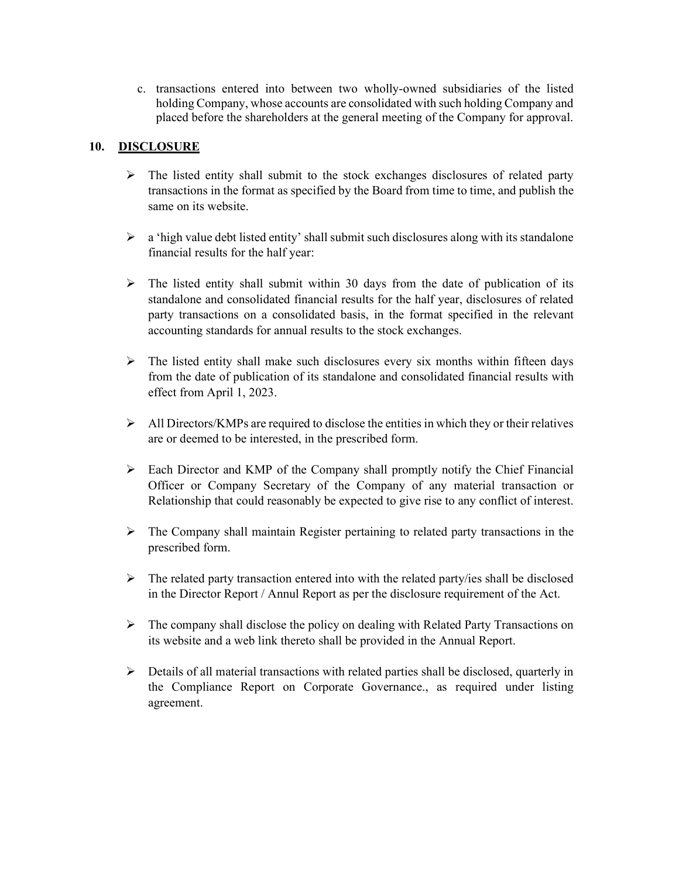c. transactions entered into between two wholly-owned subsidiaries of the listed holding Company, whose accounts are consolidated with such holding Company and placed before the shareholders at the general meeting of the Company for approval.

#### 10. DISCLOSURE

- $\triangleright$  The listed entity shall submit to the stock exchanges disclosures of related party transactions in the format as specified by the Board from time to time, and publish the same on its website.
- $\triangleright$  a 'high value debt listed entity' shall submit such disclosures along with its standalone financial results for the half year:
- $\triangleright$  The listed entity shall submit within 30 days from the date of publication of its standalone and consolidated financial results for the half year, disclosures of related party transactions on a consolidated basis, in the format specified in the relevant accounting standards for annual results to the stock exchanges.
- $\triangleright$  The listed entity shall make such disclosures every six months within fifteen days from the date of publication of its standalone and consolidated financial results with effect from April 1, 2023.
- $\triangleright$  All Directors/KMPs are required to disclose the entities in which they or their relatives are or deemed to be interested, in the prescribed form.
- $\triangleright$  Each Director and KMP of the Company shall promptly notify the Chief Financial Officer or Company Secretary of the Company of any material transaction or Relationship that could reasonably be expected to give rise to any conflict of interest.
- $\triangleright$  The Company shall maintain Register pertaining to related party transactions in the prescribed form.
- $\triangleright$  The related party transaction entered into with the related party/ies shall be disclosed in the Director Report / Annul Report as per the disclosure requirement of the Act.
- $\triangleright$  The company shall disclose the policy on dealing with Related Party Transactions on its website and a web link thereto shall be provided in the Annual Report.
- $\triangleright$  Details of all material transactions with related parties shall be disclosed, quarterly in the Compliance Report on Corporate Governance., as required under listing agreement.